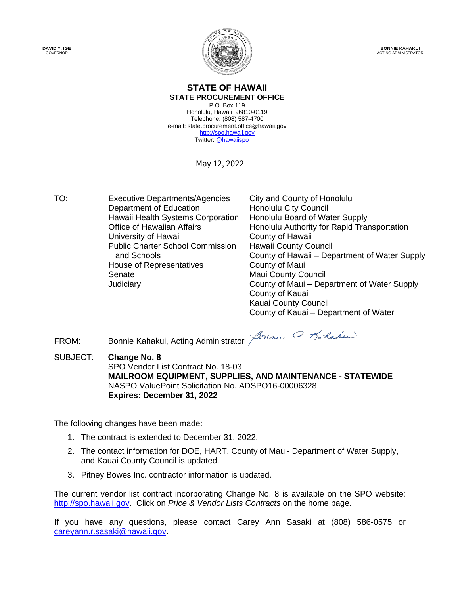**DAVID Y. IGE** GOVERNOR



**BONNIE KAHAKUI** ACTING ADMINISTRATOR

#### **STATE OF HAWAII STATE PROCUREMENT OFFICE**

P.O. Box 119 Honolulu, Hawaii 96810-0119 Telephone: (808) 587-4700 e-mail: state.procurement.office@hawaii.gov [http://spo.hawaii.gov](http://spo.hawaii.gov/) Twitter[: @hawaiispo](https://twitter.com/hawaiispo)

May 12, 2022

TO: Executive Departments/Agencies City and County of Honolulu<br>Department of Education Honolulu City Council Department of Education Hawaii Health Systems Corporation Honolulu Board of Water Supply<br>Office of Hawaiian Affairs **Honolulu Authority for Rapid Tra** University of Hawaii **County of Hawaii** Public Charter School Commission and Schools House of Representatives County of Maui Senate Maui County Council

Honolulu Authority for Rapid Transportation Hawaii County Council County of Hawaii – Department of Water Supply Judiciary County of Maui – Department of Water Supply County of Kauai Kauai County Council County of Kauai – Department of Water

FROM: Bonnie Kahakui, Acting Administrator Johns Q Markakus

SUBJECT: **Change No. 8** SPO Vendor List Contract No. 18-03 **MAILROOM EQUIPMENT, SUPPLIES, AND MAINTENANCE - STATEWIDE** NASPO ValuePoint Solicitation No. ADSPO16-00006328 **Expires: December 31, 2022**

The following changes have been made:

- 1. The contract is extended to December 31, 2022.
- 2. The contact information for DOE, HART, County of Maui- Department of Water Supply, and Kauai County Council is updated.
- 3. Pitney Bowes Inc. contractor information is updated.

The current vendor list contract incorporating Change No. 8 is available on the SPO website: [http://spo.hawaii.gov.](http://spo.hawaii.gov/) Click on *Price & Vendor Lists Contracts* on the home page.

If you have any questions, please contact Carey Ann Sasaki at (808) 586-0575 or [careyann.r.sasaki@hawaii.gov.](mailto:careyann.r.sasaki@hawaii.gov)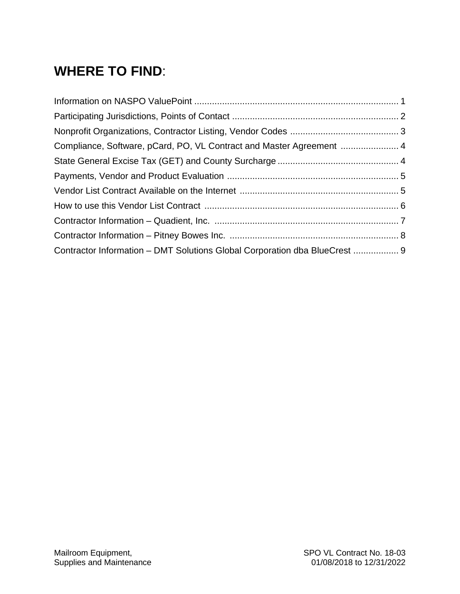## **WHERE TO FIND**:

| Compliance, Software, pCard, PO, VL Contract and Master Agreement          |  |
|----------------------------------------------------------------------------|--|
|                                                                            |  |
|                                                                            |  |
|                                                                            |  |
|                                                                            |  |
|                                                                            |  |
|                                                                            |  |
| Contractor Information – DMT Solutions Global Corporation dba BlueCrest  9 |  |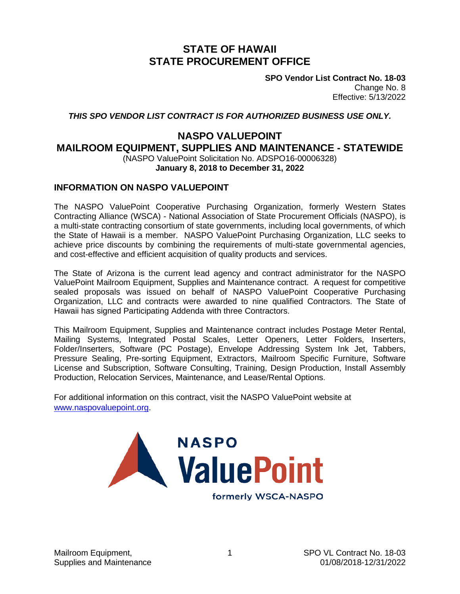### **STATE OF HAWAII STATE PROCUREMENT OFFICE**

**SPO Vendor List Contract No. 18-03** Change No. 8 Effective: 5/13/2022

*THIS SPO VENDOR LIST CONTRACT IS FOR AUTHORIZED BUSINESS USE ONLY.*

### **NASPO VALUEPOINT**

**MAILROOM EQUIPMENT, SUPPLIES AND MAINTENANCE - STATEWIDE**

(NASPO ValuePoint Solicitation No. ADSPO16-00006328)

**January 8, 2018 to December 31, 2022**

### **INFORMATION ON NASPO VALUEPOINT**

The NASPO ValuePoint Cooperative Purchasing Organization, formerly Western States Contracting Alliance (WSCA) - National Association of State Procurement Officials (NASPO), is a multi-state contracting consortium of state governments, including local governments, of which the State of Hawaii is a member. NASPO ValuePoint Purchasing Organization, LLC seeks to achieve price discounts by combining the requirements of multi-state governmental agencies, and cost-effective and efficient acquisition of quality products and services.

The State of Arizona is the current lead agency and contract administrator for the NASPO ValuePoint Mailroom Equipment, Supplies and Maintenance contract. A request for competitive sealed proposals was issued on behalf of NASPO ValuePoint Cooperative Purchasing Organization, LLC and contracts were awarded to nine qualified Contractors. The State of Hawaii has signed Participating Addenda with three Contractors.

This Mailroom Equipment, Supplies and Maintenance contract includes Postage Meter Rental, Mailing Systems, Integrated Postal Scales, Letter Openers, Letter Folders, Inserters, Folder/Inserters, Software (PC Postage), Envelope Addressing System Ink Jet, Tabbers, Pressure Sealing, Pre-sorting Equipment, Extractors, Mailroom Specific Furniture, Software License and Subscription, Software Consulting, Training, Design Production, Install Assembly Production, Relocation Services, Maintenance, and Lease/Rental Options.

For additional information on this contract, visit the NASPO ValuePoint website at [www.naspovaluepoint.org.](http://www.naspovaluepoint.org/)



formerly WSCA-NASPO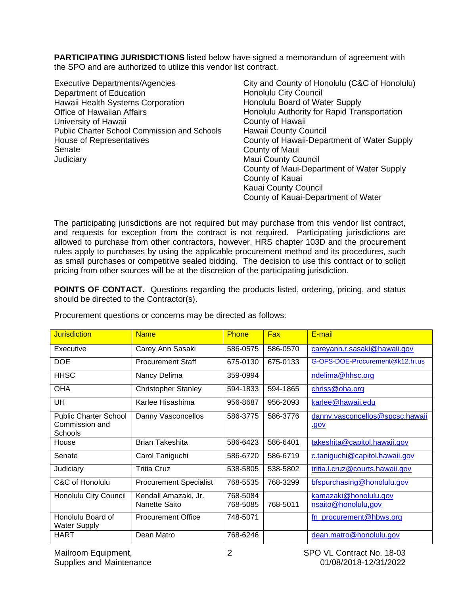**PARTICIPATING JURISDICTIONS** listed below have signed a memorandum of agreement with the SPO and are authorized to utilize this vendor list contract.

Executive Departments/Agencies City and County of Honolulu (C&C of Honolulu) Department of Education Hawaii Health Systems Corporation Office of Hawaiian Affairs University of Hawaii Public Charter School Commission and Schools House of Representatives Senate **Judiciary** 

Honolulu City Council Honolulu Board of Water Supply Honolulu Authority for Rapid Transportation County of Hawaii Hawaii County Council County of Hawaii-Department of Water Supply County of Maui Maui County Council County of Maui-Department of Water Supply County of Kauai Kauai County Council County of Kauai-Department of Water

The participating jurisdictions are not required but may purchase from this vendor list contract, and requests for exception from the contract is not required. Participating jurisdictions are allowed to purchase from other contractors, however, HRS chapter 103D and the procurement rules apply to purchases by using the applicable procurement method and its procedures, such as small purchases or competitive sealed bidding. The decision to use this contract or to solicit pricing from other sources will be at the discretion of the participating jurisdiction.

**POINTS OF CONTACT.** Questions regarding the products listed, ordering, pricing, and status should be directed to the Contractor(s).

| <b>Jurisdiction</b>                                              | <b>Name</b>                           | <b>Phone</b>         | <b>Fax</b> | E-mail                                         |
|------------------------------------------------------------------|---------------------------------------|----------------------|------------|------------------------------------------------|
| Executive                                                        | Carey Ann Sasaki                      | 586-0575             | 586-0570   | careyann.r.sasaki@hawaii.gov                   |
| <b>DOE</b>                                                       | <b>Procurement Staff</b>              | 675-0130             | 675-0133   | G-OFS-DOE-Procurement@k12.hi.us                |
| <b>HHSC</b>                                                      | Nancy Delima                          | 359-0994             |            | ndelima@hhsc.org                               |
| <b>OHA</b>                                                       | <b>Christopher Stanley</b>            | 594-1833             | 594-1865   | chriss@oha.org                                 |
| UH                                                               | Karlee Hisashima                      | 956-8687             | 956-2093   | karlee@hawaii.edu                              |
| <b>Public Charter School</b><br>Commission and<br><b>Schools</b> | Danny Vasconcellos                    | 586-3775             | 586-3776   | danny.vasconcellos@spcsc.hawaii<br><u>.gov</u> |
| House                                                            | <b>Brian Takeshita</b>                | 586-6423             | 586-6401   | takeshita@capitol.hawaii.gov                   |
| Senate                                                           | Carol Taniguchi                       | 586-6720             | 586-6719   | c.taniguchi@capitol.hawaii.gov                 |
| Judiciary                                                        | Tritia Cruz                           | 538-5805             | 538-5802   | tritia.l.cruz@courts.hawaii.gov                |
| C&C of Honolulu                                                  | <b>Procurement Specialist</b>         | 768-5535             | 768-3299   | bfspurchasing@honolulu.gov                     |
| Honolulu City Council                                            | Kendall Amazaki, Jr.<br>Nanette Saito | 768-5084<br>768-5085 | 768-5011   | kamazaki@honolulu.gov<br>nsaito@honolulu,gov   |
| Honolulu Board of<br><b>Water Supply</b>                         | <b>Procurement Office</b>             | 748-5071             |            | fn_procurement@hbws.org                        |
| HART                                                             | Dean Matro                            | 768-6246             |            | dean.matro@honolulu.gov                        |

Procurement questions or concerns may be directed as follows: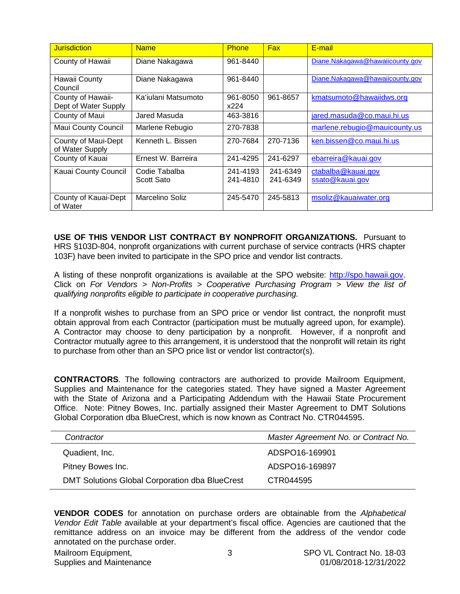| <b>Jurisdiction</b>                       | <b>Name</b>                 | <b>Phone</b>         | <b>Fax</b>           | E-mail                                |
|-------------------------------------------|-----------------------------|----------------------|----------------------|---------------------------------------|
| County of Hawaii                          | Diane Nakagawa              | 961-8440             |                      | Diane.Nakagawa@hawaiicounty.gov       |
| Hawaii County<br>Council                  | Diane Nakagawa              | 961-8440             |                      | Diane.Nakagawa@hawaiicounty.gov       |
| County of Hawaii-<br>Dept of Water Supply | Ka'iulani Matsumoto         | 961-8050<br>x224     | 961-8657             | kmatsumoto@hawaiidws.org              |
| County of Maui                            | Jared Masuda                | 463-3816             |                      | jared.masuda@co.maui.hi.us            |
| <b>Maui County Council</b>                | Marlene Rebugio             | 270-7838             |                      | marlene.rebugio@mauicounty.us         |
| County of Maui-Dept<br>of Water Supply    | Kenneth L. Bissen           | 270-7684             | 270-7136             | ken.bissen@co.maui.hi.us              |
| County of Kauai                           | Ernest W. Barreira          | 241-4295             | 241-6297             | ebarreira@kauai.gov                   |
| Kauai County Council                      | Codie Tabalba<br>Scott Sato | 241-4193<br>241-4810 | 241-6349<br>241-6349 | ctabalba@kauai.gov<br>ssato@kauai.gov |
| County of Kauai-Dept<br>of Water          | Marcelino Soliz             | 245-5470             | 245-5813             | msoliz@kauaiwater.org                 |

**USE OF THIS VENDOR LIST CONTRACT BY NONPROFIT ORGANIZATIONS.** Pursuant to HRS §103D-804, nonprofit organizations with current purchase of service contracts (HRS chapter 103F) have been invited to participate in the SPO price and vendor list contracts.

A listing of these nonprofit organizations is available at the SPO website: [http://spo.hawaii.gov.](http://spo.hawaii.gov/) Click on *For Vendors > Non-Profits > Cooperative Purchasing Program > View the list of qualifying nonprofits eligible to participate in cooperative purchasing.*

If a nonprofit wishes to purchase from an SPO price or vendor list contract, the nonprofit must obtain approval from each Contractor (participation must be mutually agreed upon, for example). A Contractor may choose to deny participation by a nonprofit. However, if a nonprofit and Contractor mutually agree to this arrangement, it is understood that the nonprofit will retain its right to purchase from other than an SPO price list or vendor list contractor(s).

**CONTRACTORS**. The following contractors are authorized to provide Mailroom Equipment, Supplies and Maintenance for the categories stated. They have signed a Master Agreement with the State of Arizona and a Participating Addendum with the Hawaii State Procurement Office. Note: Pitney Bowes, Inc. partially assigned their Master Agreement to DMT Solutions Global Corporation dba BlueCrest, which is now known as Contract No. CTR044595.

| Contractor                                            | Master Agreement No. or Contract No. |
|-------------------------------------------------------|--------------------------------------|
| Quadient, Inc.                                        | ADSPO16-169901                       |
| Pitney Bowes Inc.                                     | ADSPO16-169897                       |
| <b>DMT Solutions Global Corporation dba BlueCrest</b> | CTR044595                            |

**VENDOR CODES** for annotation on purchase orders are obtainable from the *Alphabetical Vendor Edit Table* available at your department's fiscal office. Agencies are cautioned that the remittance address on an invoice may be different from the address of the vendor code annotated on the purchase order.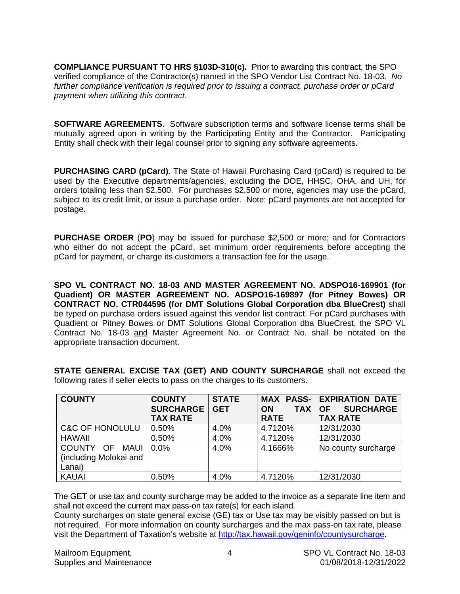**COMPLIANCE PURSUANT TO HRS §103D-310(c).** Prior to awarding this contract, the SPO verified compliance of the Contractor(s) named in the SPO Vendor List Contract No. 18-03. *No further compliance verification is required prior to issuing a contract, purchase order or pCard payment when utilizing this contract.*

**SOFTWARE AGREEMENTS**. Software subscription terms and software license terms shall be mutually agreed upon in writing by the Participating Entity and the Contractor. Participating Entity shall check with their legal counsel prior to signing any software agreements.

**PURCHASING CARD (pCard)**. The State of Hawaii Purchasing Card (pCard) is required to be used by the Executive departments/agencies, excluding the DOE, HHSC, OHA, and UH, for orders totaling less than \$2,500. For purchases \$2,500 or more, agencies may use the pCard, subject to its credit limit, or issue a purchase order. Note: pCard payments are not accepted for postage.

**PURCHASE ORDER** (**PO**) may be issued for purchase \$2,500 or more; and for Contractors who either do not accept the pCard, set minimum order requirements before accepting the pCard for payment, or charge its customers a transaction fee for the usage.

**SPO VL CONTRACT NO. 18-03 AND MASTER AGREEMENT NO. ADSPO16-169901 (for Quadient) OR MASTER AGREEMENT NO. ADSPO16-169897 (for Pitney Bowes) OR CONTRACT NO. CTR044595 (for DMT Solutions Global Corporation dba BlueCrest)** shall be typed on purchase orders issued against this vendor list contract. For pCard purchases with Quadient or Pitney Bowes or DMT Solutions Global Corporation dba BlueCrest, the SPO VL Contract No. 18-03 and Master Agreement No. or Contract No. shall be notated on the appropriate transaction document.

**STATE GENERAL EXCISE TAX (GET) AND COUNTY SURCHARGE** shall not exceed the following rates if seller elects to pass on the charges to its customers.

| <b>COUNTY</b>              | <b>COUNTY</b>    | <b>STATE</b> |                         | <b>MAX PASS- EXPIRATION DATE</b> |
|----------------------------|------------------|--------------|-------------------------|----------------------------------|
|                            | <b>SURCHARGE</b> | <b>GET</b>   | <b>TAX</b><br><b>ON</b> | <b>SURCHARGE</b><br><b>OF</b>    |
|                            | <b>TAX RATE</b>  |              | <b>RATE</b>             | <b>TAX RATE</b>                  |
| <b>C&amp;C OF HONOLULU</b> | 0.50%            | 4.0%         | 4.7120%                 | 12/31/2030                       |
| <b>HAWAII</b>              | 0.50%            | 4.0%         | 4.7120%                 | 12/31/2030                       |
| COUNTY OF<br>MAUI          | $0.0\%$          | 4.0%         | 4.1666%                 | No county surcharge              |
| (including Molokai and     |                  |              |                         |                                  |
| Lanai)                     |                  |              |                         |                                  |
| <b>KAUAI</b>               | 0.50%            | 4.0%         | 4.7120%                 | 12/31/2030                       |

The GET or use tax and county surcharge may be added to the invoice as a separate line item and shall not exceed the current max pass-on tax rate(s) for each island.

County surcharges on state general excise (GE) tax or Use tax may be visibly passed on but is not required. For more information on county surcharges and the max pass-on tax rate, please visit the Department of Taxation's website at [http://tax.hawaii.gov/geninfo/countysurcharge.](http://tax.hawaii.gov/geninfo/countysurcharge)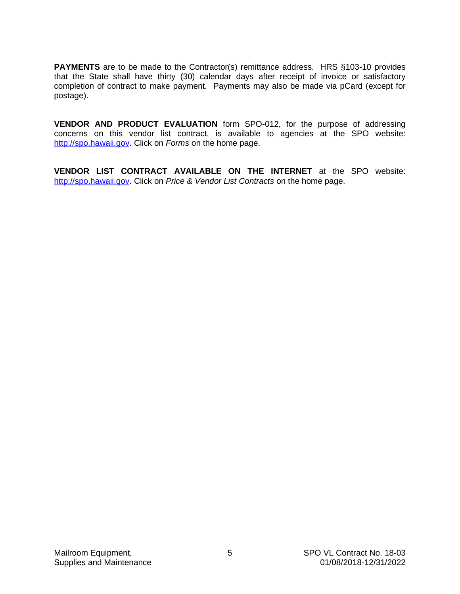**PAYMENTS** are to be made to the Contractor(s) remittance address. HRS §103-10 provides that the State shall have thirty (30) calendar days after receipt of invoice or satisfactory completion of contract to make payment. Payments may also be made via pCard (except for postage).

**VENDOR AND PRODUCT EVALUATION** form SPO-012, for the purpose of addressing concerns on this vendor list contract, is available to agencies at the SPO website: [http://spo.hawaii.gov.](http://spo.hawaii.gov/) Click on *Forms* on the home page.

**VENDOR LIST CONTRACT AVAILABLE ON THE INTERNET** at the SPO website: [http://spo.hawaii.gov.](http://spo.hawaii.gov/) Click on *Price & Vendor List Contracts* on the home page.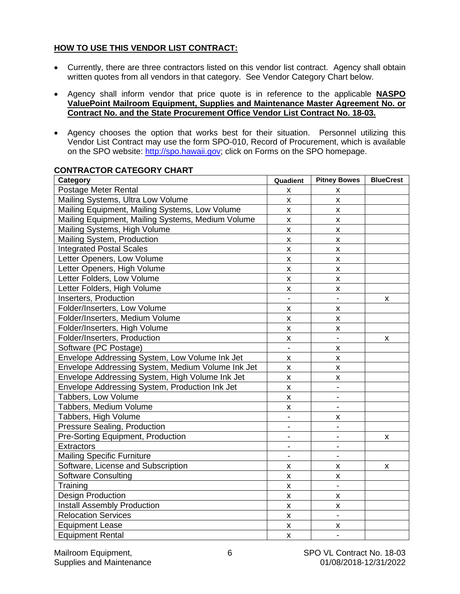### **HOW TO USE THIS VENDOR LIST CONTRACT:**

- Currently, there are three contractors listed on this vendor list contract. Agency shall obtain written quotes from all vendors in that category. See Vendor Category Chart below.
- Agency shall inform vendor that price quote is in reference to the applicable **NASPO ValuePoint Mailroom Equipment, Supplies and Maintenance Master Agreement No. or Contract No. and the State Procurement Office Vendor List Contract No. 18-03.**
- Agency chooses the option that works best for their situation. Personnel utilizing this Vendor List Contract may use the form SPO-010, Record of Procurement, which is available on the SPO website: [http://spo.hawaii.gov;](http://spo.hawaii.gov/) click on Forms on the SPO homepage.

| Category                                          | Quadient           | <b>Pitney Bowes</b> | <b>BlueCrest</b> |
|---------------------------------------------------|--------------------|---------------------|------------------|
| Postage Meter Rental                              | x                  | x                   |                  |
| Mailing Systems, Ultra Low Volume                 | $\pmb{\mathsf{X}}$ | X                   |                  |
| Mailing Equipment, Mailing Systems, Low Volume    | $\pmb{\mathsf{X}}$ | X                   |                  |
| Mailing Equipment, Mailing Systems, Medium Volume | $\mathsf{x}$       | X                   |                  |
| Mailing Systems, High Volume                      | $\pmb{\mathsf{X}}$ | X                   |                  |
| Mailing System, Production                        | $\pmb{\mathsf{X}}$ | $\pmb{\times}$      |                  |
| <b>Integrated Postal Scales</b>                   | $\mathsf{x}$       | $\pmb{\times}$      |                  |
| Letter Openers, Low Volume                        | <b>X</b>           | X                   |                  |
| Letter Openers, High Volume                       | X.                 | X                   |                  |
| Letter Folders, Low Volume                        | $\mathsf{x}$       | X                   |                  |
| Letter Folders, High Volume                       | x                  | x                   |                  |
| Inserters, Production                             | $\blacksquare$     |                     | x                |
| Folder/Inserters, Low Volume                      | X                  | X                   |                  |
| Folder/Inserters, Medium Volume                   | $\mathsf{x}$       | X                   |                  |
| Folder/Inserters, High Volume                     | $\pmb{\mathsf{X}}$ | X                   |                  |
| Folder/Inserters, Production                      | x                  | $\blacksquare$      | x                |
| Software (PC Postage)                             | $\blacksquare$     | X                   |                  |
| Envelope Addressing System, Low Volume Ink Jet    | X                  | X                   |                  |
| Envelope Addressing System, Medium Volume Ink Jet | $\pmb{\mathsf{X}}$ | $\pmb{\times}$      |                  |
| Envelope Addressing System, High Volume Ink Jet   | $\pmb{\mathsf{X}}$ | X                   |                  |
| Envelope Addressing System, Production Ink Jet    | X                  |                     |                  |
| Tabbers, Low Volume                               | X                  |                     |                  |
| Tabbers, Medium Volume                            | X                  |                     |                  |
| Tabbers, High Volume                              |                    | x                   |                  |
| <b>Pressure Sealing, Production</b>               |                    |                     |                  |
| Pre-Sorting Equipment, Production                 |                    |                     | x                |
| <b>Extractors</b>                                 |                    |                     |                  |
| <b>Mailing Specific Furniture</b>                 |                    |                     |                  |
| Software, License and Subscription                | x                  | x                   | x                |
| <b>Software Consulting</b>                        | X                  | X                   |                  |
| Training                                          | X                  |                     |                  |
| <b>Design Production</b>                          | $\mathsf{x}$       | x                   |                  |
| Install Assembly Production                       | X                  | $\pmb{\mathsf{X}}$  |                  |
| <b>Relocation Services</b>                        | $\mathsf{x}$       | $\overline{a}$      |                  |
| <b>Equipment Lease</b>                            | X                  | X                   |                  |
| <b>Equipment Rental</b>                           | X                  |                     |                  |

### **CONTRACTOR CATEGORY CHART**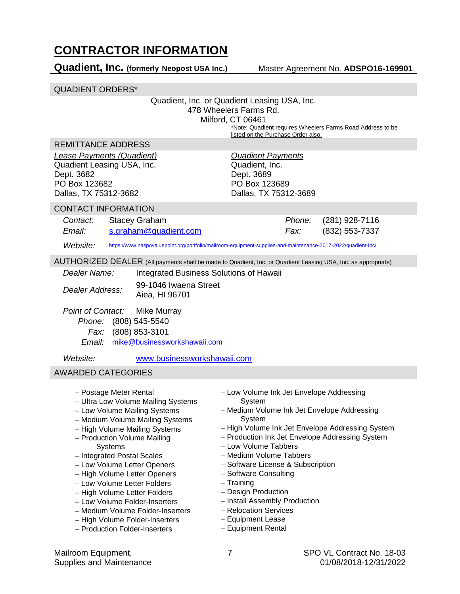### **CONTRACTOR INFORMATION**

**Quadient, Inc. (formerly Neopost USA Inc.)** Master Agreement No. **ADSPO16-169901**

QUADIENT ORDERS\*

|                    | Quadient, Inc.<br>Dept. 3689<br>PO Box 123689                                                                                                                                                                                                                                                                                                                                                                                                                                                                                                                                                                        |                                                                                                                                                                                |                                                                                                                                                                                                        |                                                                                                                                                                                                                                                                                                                                                                                                                                                                                                                                                                           |
|--------------------|----------------------------------------------------------------------------------------------------------------------------------------------------------------------------------------------------------------------------------------------------------------------------------------------------------------------------------------------------------------------------------------------------------------------------------------------------------------------------------------------------------------------------------------------------------------------------------------------------------------------|--------------------------------------------------------------------------------------------------------------------------------------------------------------------------------|--------------------------------------------------------------------------------------------------------------------------------------------------------------------------------------------------------|---------------------------------------------------------------------------------------------------------------------------------------------------------------------------------------------------------------------------------------------------------------------------------------------------------------------------------------------------------------------------------------------------------------------------------------------------------------------------------------------------------------------------------------------------------------------------|
|                    |                                                                                                                                                                                                                                                                                                                                                                                                                                                                                                                                                                                                                      |                                                                                                                                                                                |                                                                                                                                                                                                        |                                                                                                                                                                                                                                                                                                                                                                                                                                                                                                                                                                           |
|                    |                                                                                                                                                                                                                                                                                                                                                                                                                                                                                                                                                                                                                      |                                                                                                                                                                                | $(281)$ 928-7116<br>(832) 553-7337                                                                                                                                                                     |                                                                                                                                                                                                                                                                                                                                                                                                                                                                                                                                                                           |
|                    |                                                                                                                                                                                                                                                                                                                                                                                                                                                                                                                                                                                                                      |                                                                                                                                                                                |                                                                                                                                                                                                        |                                                                                                                                                                                                                                                                                                                                                                                                                                                                                                                                                                           |
|                    |                                                                                                                                                                                                                                                                                                                                                                                                                                                                                                                                                                                                                      |                                                                                                                                                                                |                                                                                                                                                                                                        |                                                                                                                                                                                                                                                                                                                                                                                                                                                                                                                                                                           |
|                    |                                                                                                                                                                                                                                                                                                                                                                                                                                                                                                                                                                                                                      |                                                                                                                                                                                |                                                                                                                                                                                                        |                                                                                                                                                                                                                                                                                                                                                                                                                                                                                                                                                                           |
| Aiea, HI 96701     |                                                                                                                                                                                                                                                                                                                                                                                                                                                                                                                                                                                                                      |                                                                                                                                                                                |                                                                                                                                                                                                        |                                                                                                                                                                                                                                                                                                                                                                                                                                                                                                                                                                           |
| <b>Mike Murray</b> |                                                                                                                                                                                                                                                                                                                                                                                                                                                                                                                                                                                                                      |                                                                                                                                                                                |                                                                                                                                                                                                        |                                                                                                                                                                                                                                                                                                                                                                                                                                                                                                                                                                           |
|                    |                                                                                                                                                                                                                                                                                                                                                                                                                                                                                                                                                                                                                      |                                                                                                                                                                                |                                                                                                                                                                                                        |                                                                                                                                                                                                                                                                                                                                                                                                                                                                                                                                                                           |
|                    |                                                                                                                                                                                                                                                                                                                                                                                                                                                                                                                                                                                                                      |                                                                                                                                                                                |                                                                                                                                                                                                        |                                                                                                                                                                                                                                                                                                                                                                                                                                                                                                                                                                           |
|                    | System<br>System<br>$-$ Training                                                                                                                                                                                                                                                                                                                                                                                                                                                                                                                                                                                     |                                                                                                                                                                                |                                                                                                                                                                                                        |                                                                                                                                                                                                                                                                                                                                                                                                                                                                                                                                                                           |
|                    | QUADIENT URDERS<br>REMITTANCE ADDRESS<br><b>Lease Payments (Quadient)</b><br>Quadient Leasing USA, Inc.<br>Dallas, TX 75312-3682<br>CONTACT INFORMATION<br><b>Stacey Graham</b><br>s.graham@quadient.com<br>Phone: (808) 545-5540<br>Fax: (808) 853-3101<br><b>AWARDED CATEGORIES</b><br>- Postage Meter Rental<br>- Ultra Low Volume Mailing Systems<br>- Low Volume Mailing Systems<br>- Medium Volume Mailing Systems<br>- High Volume Mailing Systems<br>- Production Volume Mailing<br>- Integrated Postal Scales<br>- Low Volume Letter Openers<br>- High Volume Letter Openers<br>- Low Volume Letter Folders | 478 Wheelers Farms Rd.<br>Milford, CT 06461<br>Integrated Business Solutions of Hawaii<br>99-1046 Iwaena Street<br>mike@businessworkshawaii.com<br>www.businessworkshawaii.com | Quadient, Inc. or Quadient Leasing USA, Inc.<br><b>Quadient Payments</b><br>Dallas, TX 75312-3689<br><i>Phone:</i><br>Fax:<br>- Low Volume Tabbers<br>- Medium Volume Tabbers<br>- Software Consulting | *Note: Quadient requires Wheelers Farms Road Address to be<br>listed on the Purchase Order also.<br>https://www.naspovaluepoint.org/portfolio/mailroom-equipment-supplies-and-maintenance-2017-2022/quadient-inc/<br>AUTHORIZED DEALER (All payments shall be made to Quadient, Inc. or Quadient Leasing USA, Inc. as appropriate)<br>- Low Volume Ink Jet Envelope Addressing<br>- Medium Volume Ink Jet Envelope Addressing<br>- High Volume Ink Jet Envelope Addressing System<br>- Production Ink Jet Envelope Addressing System<br>- Software License & Subscription |

- − High Volume Letter Folders
- − Low Volume Folder-Inserters
- − Medium Volume Folder-Inserters
- − High Volume Folder-Inserters
- − Production Folder-Inserters
- − Design Production
- − Install Assembly Production
- − Relocation Services
- − Equipment Lease
- − Equipment Rental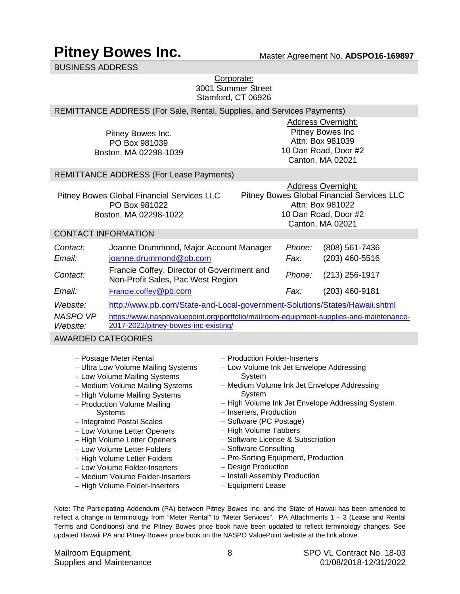### **Pitney Bowes Inc.** Master Agreement No. ADSP016-169897

BUSINESS ADDRESS

### Corporate: 3001 Summer Street Stamford, CT 06926

### REMITTANCE ADDRESS (For Sale, Rental, Supplies, and Services Payments)

Pitney Bowes Inc. PO Box 981039 Boston, MA 02298-1039

Address Overnight: Pitney Bowes Inc Attn: Box 981039 10 Dan Road, Door #2 Canton, MA 02021

### REMITTANCE ADDRESS (For Lease Payments)

|                                            | <b>Address Overnight:</b>                  |
|--------------------------------------------|--------------------------------------------|
| Pitney Bowes Global Financial Services LLC | Pitney Bowes Global Financial Services LLC |
| PO Box 981022                              | Attn: Box 981022                           |
| Boston, MA 02298-1022                      | 10 Dan Road, Door #2                       |
|                                            | Canton, MA 02021                           |

### CONTACT INFORMATION

| Contact:<br>Email:          | Joanne Drummond, Major Account Manager<br>joanne.drummond@pb.com                                                               | Phone:<br>Fax: | (808) 561-7436<br>$(203)$ 460-5516 |
|-----------------------------|--------------------------------------------------------------------------------------------------------------------------------|----------------|------------------------------------|
| Contact:                    | Francie Coffey, Director of Government and<br>Non-Profit Sales, Pac West Region                                                | Phone:         | $(213)$ 256-1917                   |
| <i>Email:</i>               | Francie.coffey@pb.com                                                                                                          | Fax:           | (203) 460-9181                     |
| Website:                    | http://www.pb.com/State-and-Local-government-Solutions/States/Hawaii.shtml                                                     |                |                                    |
| <b>NASPO VP</b><br>Website: | https://www.naspovaluepoint.org/portfolio/mailroom-equipment-supplies-and-maintenance-<br>2017-2022/pitney-bowes-inc-existing/ |                |                                    |

### AWARDED CATEGORIES

- − Postage Meter Rental
- − Ultra Low Volume Mailing Systems
- − Low Volume Mailing Systems
- − Medium Volume Mailing Systems
- − High Volume Mailing Systems
- − Production Volume Mailing **Systems**
- − Integrated Postal Scales
- − Low Volume Letter Openers
- − High Volume Letter Openers
- − Low Volume Letter Folders
- − High Volume Letter Folders
- − Low Volume Folder-Inserters
- − Medium Volume Folder-Inserters
- − High Volume Folder-Inserters
- − Production Folder-Inserters
- − Low Volume Ink Jet Envelope Addressing System
- − Medium Volume Ink Jet Envelope Addressing **System**
- − High Volume Ink Jet Envelope Addressing System
- − Inserters, Production
- − Software (PC Postage)
- − High Volume Tabbers
- − Software License & Subscription
- − Software Consulting
- − Pre-Sorting Equipment, Production
- − Design Production
- − Install Assembly Production
- − Equipment Lease

Note: The Participating Addendum (PA) between Pitney Bowes Inc. and the State of Hawaii has been amended to reflect a change in terminology from "Meter Rental" to "Meter Services". PA Attachments 1 – 3 (Lease and Rental Terms and Conditions) and the Pitney Bowes price book have been updated to reflect terminology changes. See updated Hawaii PA and Pitney Bowes price book on the NASPO ValuePoint website at the link above.